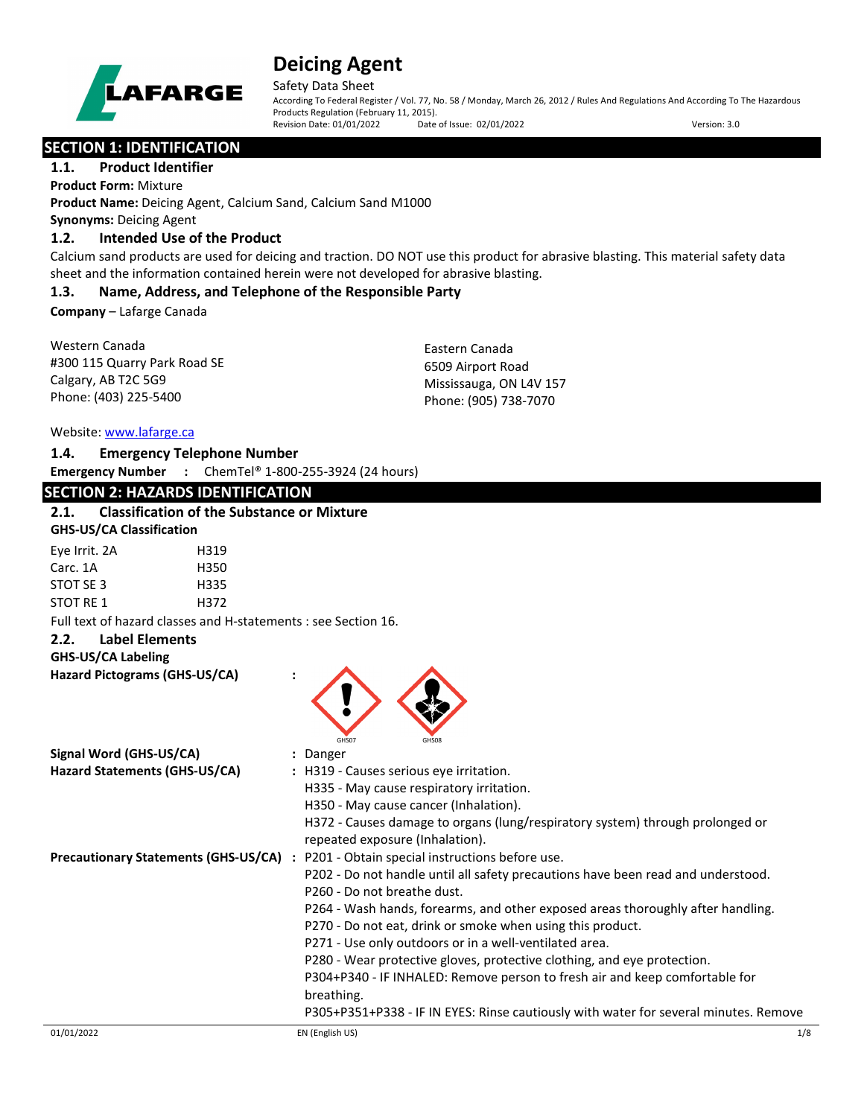

Safety Data Sheet

According To Federal Register / Vol. 77, No. 58 / Monday, March 26, 2012 / Rules And Regulations And According To The Hazardous Products Regulation (February 11, 2015).<br>Revision Date: 01/01/2022 Date of Issue: 02/01/2022 Revision Date: 01/01/2022 Date of Issue: 02/01/2022 Version: 3.0

**SECTION 1: IDENTIFICATION** 

## **1.1. Product Identifier**

**Product Form:** Mixture **Product Name:** Deicing Agent, Calcium Sand, Calcium Sand M1000 **Synonyms:** Deicing Agent

# **1.2. Intended Use of the Product**

Calcium sand products are used for deicing and traction. DO NOT use this product for abrasive blasting. This material safety data sheet and the information contained herein were not developed for abrasive blasting.

# **1.3. Name, Address, and Telephone of the Responsible Party**

**Company** – Lafarge Canada

Western Canada #300 115 Quarry Park Road SE Calgary, AB T2C 5G9 Phone: (403) 225-5400

Eastern Canada 6509 Airport Road Mississauga, ON L4V 157 Phone: (905) 738-7070

Website: [www.lafarge.ca](file://leon/customers/CUSTOMERS/Lafarge_North_America_Inc/Projects/Authoring_20180316/Batch_Folder/B_Draft_SDS/MS_Word_Files/www.lafarge.ca)

# **1.4. Emergency Telephone Number**

**Emergency Number :** ChemTel® 1-800-255-3924 (24 hours)

# **SECTION 2: HAZARDS IDENTIFICATION**

# **2.1. Classification of the Substance or Mixture**

| <b>GHS-US/CA Classification</b> |      |  |
|---------------------------------|------|--|
| Eye Irrit. 2A                   | H319 |  |
| Carc. 1A                        | H350 |  |
| STOT SF3                        | H335 |  |
| STOT RF 1                       | H372 |  |

Full text of hazard classes and H-statements : see Section 16.

# **2.2. Label Elements**

## **GHS-US/CA Labeling**

| Hazard Pictograms (GHS-US/CA) |  |
|-------------------------------|--|
|-------------------------------|--|

|                                             | GHS07<br>GHS08                                                                                                                                |     |
|---------------------------------------------|-----------------------------------------------------------------------------------------------------------------------------------------------|-----|
| Signal Word (GHS-US/CA)                     | : Danger                                                                                                                                      |     |
| Hazard Statements (GHS-US/CA)               | : H319 - Causes serious eye irritation.                                                                                                       |     |
|                                             | H335 - May cause respiratory irritation.                                                                                                      |     |
|                                             | H350 - May cause cancer (Inhalation).                                                                                                         |     |
|                                             | H372 - Causes damage to organs (lung/respiratory system) through prolonged or<br>repeated exposure (Inhalation).                              |     |
| <b>Precautionary Statements (GHS-US/CA)</b> | : P201 - Obtain special instructions before use.                                                                                              |     |
|                                             | P202 - Do not handle until all safety precautions have been read and understood.<br>P260 - Do not breathe dust.                               |     |
|                                             | P264 - Wash hands, forearms, and other exposed areas thoroughly after handling.<br>P270 - Do not eat, drink or smoke when using this product. |     |
|                                             | P271 - Use only outdoors or in a well-ventilated area.                                                                                        |     |
|                                             | P280 - Wear protective gloves, protective clothing, and eye protection.                                                                       |     |
|                                             | P304+P340 - IF INHALED: Remove person to fresh air and keep comfortable for<br>breathing.                                                     |     |
|                                             | P305+P351+P338 - IF IN EYES: Rinse cautiously with water for several minutes. Remove                                                          |     |
| 01/01/2022                                  | EN (English US)                                                                                                                               | 1/8 |

 $\sqrt{2}$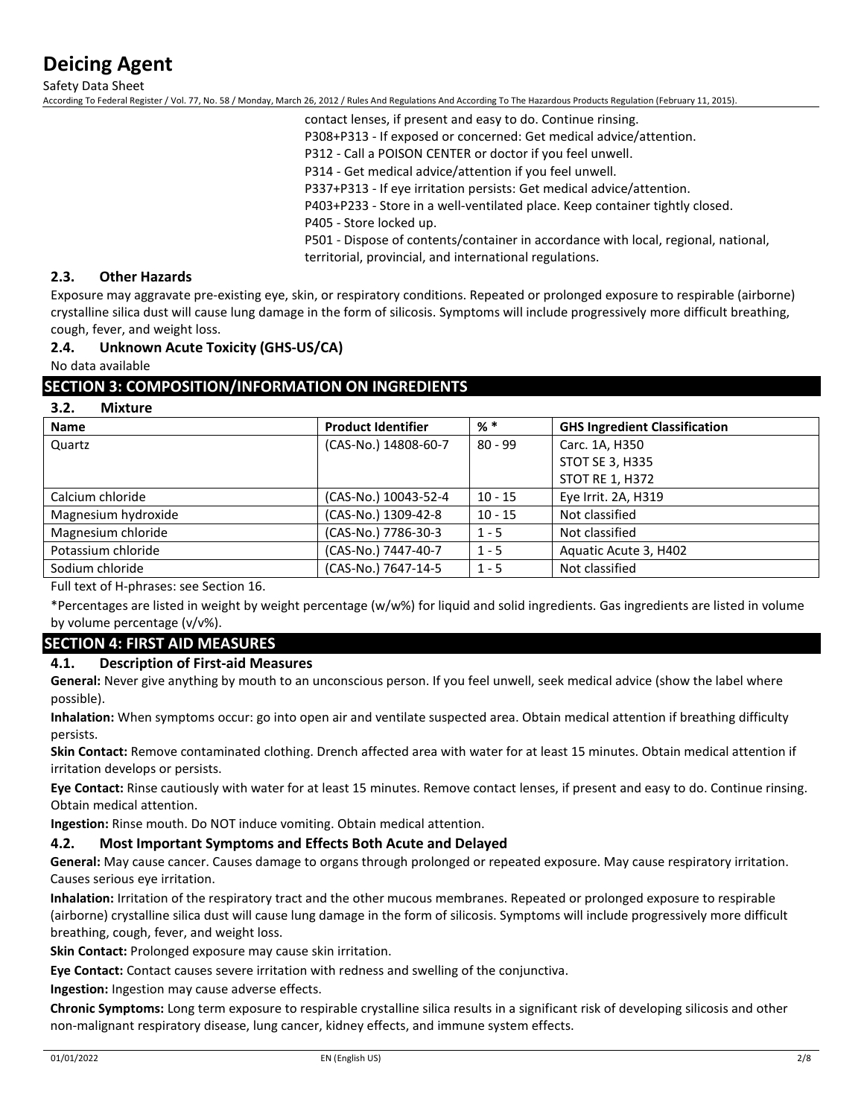Safety Data Sheet

According To Federal Register / Vol. 77, No. 58 / Monday, March 26, 2012 / Rules And Regulations And According To The Hazardous Products Regulation (February 11, 2015).

contact lenses, if present and easy to do. Continue rinsing. P308+P313 - If exposed or concerned: Get medical advice/attention. P312 - Call a POISON CENTER or doctor if you feel unwell. P314 - Get medical advice/attention if you feel unwell. P337+P313 - If eye irritation persists: Get medical advice/attention. P403+P233 - Store in a well-ventilated place. Keep container tightly closed.

P405 - Store locked up.

P501 - Dispose of contents/container in accordance with local, regional, national,

territorial, provincial, and international regulations.

## **2.3. Other Hazards**

Exposure may aggravate pre-existing eye, skin, or respiratory conditions. Repeated or prolonged exposure to respirable (airborne) crystalline silica dust will cause lung damage in the form of silicosis. Symptoms will include progressively more difficult breathing, cough, fever, and weight loss.

## **2.4. Unknown Acute Toxicity (GHS-US/CA)**

No data available

## **SECTION 3: COMPOSITION/INFORMATION ON INGREDIENTS**

## **3.2. Mixture**

| <b>Name</b>         | <b>Product Identifier</b> | $%$ $*$   | <b>GHS Ingredient Classification</b> |
|---------------------|---------------------------|-----------|--------------------------------------|
| Quartz              | (CAS-No.) 14808-60-7      | $80 - 99$ | Carc. 1A, H350                       |
|                     |                           |           | STOT SE 3, H335                      |
|                     |                           |           | <b>STOT RE 1, H372</b>               |
| Calcium chloride    | (CAS-No.) 10043-52-4      | $10 - 15$ | Eye Irrit. 2A, H319                  |
| Magnesium hydroxide | (CAS-No.) 1309-42-8       | $10 - 15$ | Not classified                       |
| Magnesium chloride  | (CAS-No.) 7786-30-3       | $1 - 5$   | Not classified                       |
| Potassium chloride  | (CAS-No.) 7447-40-7       | $1 - 5$   | Aquatic Acute 3, H402                |
| Sodium chloride     | (CAS-No.) 7647-14-5       | $1 - 5$   | Not classified                       |

Full text of H-phrases: see Section 16.

\*Percentages are listed in weight by weight percentage (w/w%) for liquid and solid ingredients. Gas ingredients are listed in volume by volume percentage (v/v%).

## **SECTION 4: FIRST AID MEASURES**

## **4.1. Description of First-aid Measures**

**General:** Never give anything by mouth to an unconscious person. If you feel unwell, seek medical advice (show the label where possible).

**Inhalation:** When symptoms occur: go into open air and ventilate suspected area. Obtain medical attention if breathing difficulty persists.

**Skin Contact:** Remove contaminated clothing. Drench affected area with water for at least 15 minutes. Obtain medical attention if irritation develops or persists.

**Eye Contact:** Rinse cautiously with water for at least 15 minutes. Remove contact lenses, if present and easy to do. Continue rinsing. Obtain medical attention.

**Ingestion:** Rinse mouth. Do NOT induce vomiting. Obtain medical attention.

## **4.2. Most Important Symptoms and Effects Both Acute and Delayed**

**General:** May cause cancer. Causes damage to organs through prolonged or repeated exposure. May cause respiratory irritation. Causes serious eye irritation.

**Inhalation:** Irritation of the respiratory tract and the other mucous membranes. Repeated or prolonged exposure to respirable (airborne) crystalline silica dust will cause lung damage in the form of silicosis. Symptoms will include progressively more difficult breathing, cough, fever, and weight loss.

**Skin Contact:** Prolonged exposure may cause skin irritation.

**Eye Contact:** Contact causes severe irritation with redness and swelling of the conjunctiva.

**Ingestion:** Ingestion may cause adverse effects.

**Chronic Symptoms:** Long term exposure to respirable crystalline silica results in a significant risk of developing silicosis and other non-malignant respiratory disease, lung cancer, kidney effects, and immune system effects.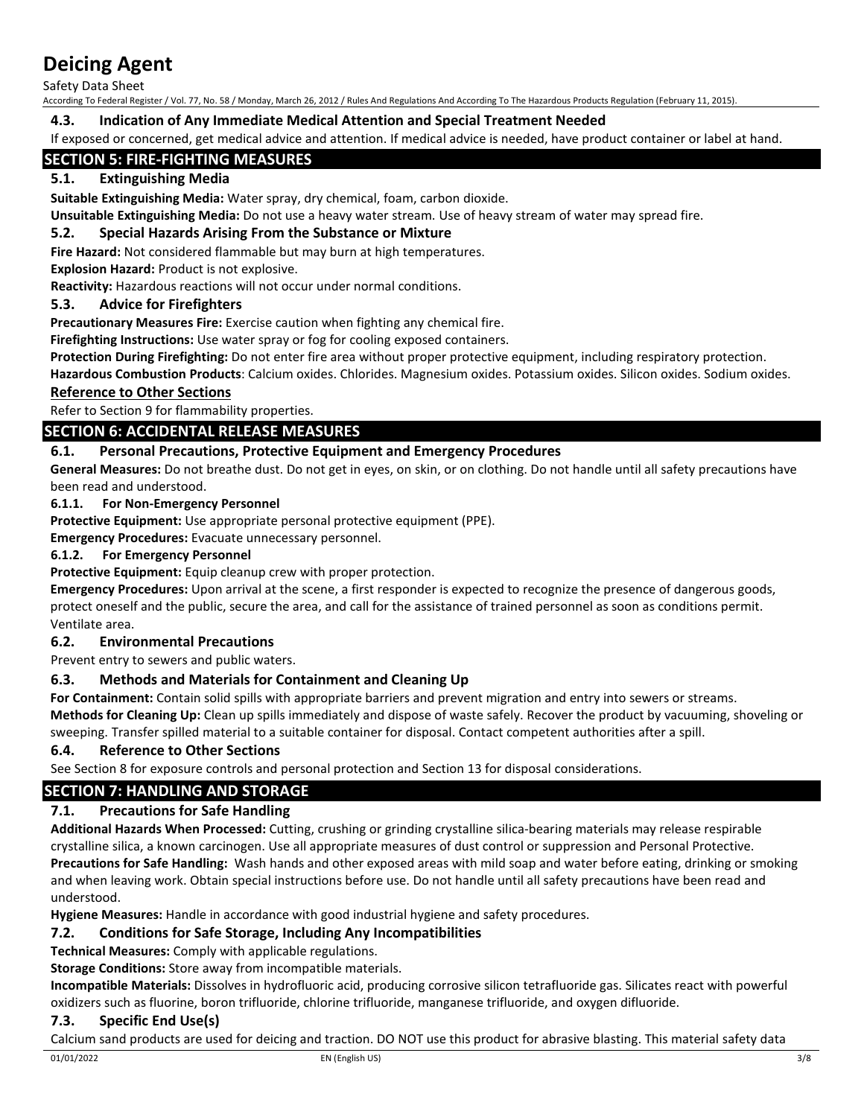Safety Data Sheet

According To Federal Register / Vol. 77, No. 58 / Monday, March 26, 2012 / Rules And Regulations And According To The Hazardous Products Regulation (February 11, 2015).

# **4.3. Indication of Any Immediate Medical Attention and Special Treatment Needed**

If exposed or concerned, get medical advice and attention. If medical advice is needed, have product container or label at hand.

# **SECTION 5: FIRE-FIGHTING MEASURES**

# **5.1. Extinguishing Media**

**Suitable Extinguishing Media:** Water spray, dry chemical, foam, carbon dioxide.

**Unsuitable Extinguishing Media:** Do not use a heavy water stream. Use of heavy stream of water may spread fire.

## **5.2. Special Hazards Arising From the Substance or Mixture**

**Fire Hazard:** Not considered flammable but may burn at high temperatures.

## **Explosion Hazard:** Product is not explosive.

**Reactivity:** Hazardous reactions will not occur under normal conditions.

# **5.3. Advice for Firefighters**

**Precautionary Measures Fire:** Exercise caution when fighting any chemical fire.

**Firefighting Instructions:** Use water spray or fog for cooling exposed containers.

**Protection During Firefighting:** Do not enter fire area without proper protective equipment, including respiratory protection.

**Hazardous Combustion Products**: Calcium oxides. Chlorides. Magnesium oxides. Potassium oxides. Silicon oxides. Sodium oxides.

# **Reference to Other Sections**

Refer to Section 9 for flammability properties.

# **SECTION 6: ACCIDENTAL RELEASE MEASURES**

# **6.1. Personal Precautions, Protective Equipment and Emergency Procedures**

**General Measures:** Do not breathe dust. Do not get in eyes, on skin, or on clothing. Do not handle until all safety precautions have been read and understood.

## **6.1.1. For Non-Emergency Personnel**

**Protective Equipment:** Use appropriate personal protective equipment (PPE).

**Emergency Procedures:** Evacuate unnecessary personnel.

## **6.1.2. For Emergency Personnel**

**Protective Equipment:** Equip cleanup crew with proper protection.

**Emergency Procedures:** Upon arrival at the scene, a first responder is expected to recognize the presence of dangerous goods, protect oneself and the public, secure the area, and call for the assistance of trained personnel as soon as conditions permit. Ventilate area.

## **6.2. Environmental Precautions**

Prevent entry to sewers and public waters.

## **6.3. Methods and Materials for Containment and Cleaning Up**

**For Containment:** Contain solid spills with appropriate barriers and prevent migration and entry into sewers or streams. **Methods for Cleaning Up:** Clean up spills immediately and dispose of waste safely. Recover the product by vacuuming, shoveling or sweeping. Transfer spilled material to a suitable container for disposal. Contact competent authorities after a spill.

# **6.4. Reference to Other Sections**

See Section 8 for exposure controls and personal protection and Section 13 for disposal considerations.

# **SECTION 7: HANDLING AND STORAGE**

# **7.1. Precautions for Safe Handling**

**Additional Hazards When Processed:** Cutting, crushing or grinding crystalline silica-bearing materials may release respirable crystalline silica, a known carcinogen. Use all appropriate measures of dust control or suppression and Personal Protective. **Precautions for Safe Handling:** Wash hands and other exposed areas with mild soap and water before eating, drinking or smoking and when leaving work. Obtain special instructions before use. Do not handle until all safety precautions have been read and understood.

**Hygiene Measures:** Handle in accordance with good industrial hygiene and safety procedures.

## **7.2. Conditions for Safe Storage, Including Any Incompatibilities**

**Technical Measures:** Comply with applicable regulations.

**Storage Conditions:** Store away from incompatible materials.

**Incompatible Materials:** Dissolves in hydrofluoric acid, producing corrosive silicon tetrafluoride gas. Silicates react with powerful oxidizers such as fluorine, boron trifluoride, chlorine trifluoride, manganese trifluoride, and oxygen difluoride.

## **7.3. Specific End Use(s)**

Calcium sand products are used for deicing and traction. DO NOT use this product for abrasive blasting. This material safety data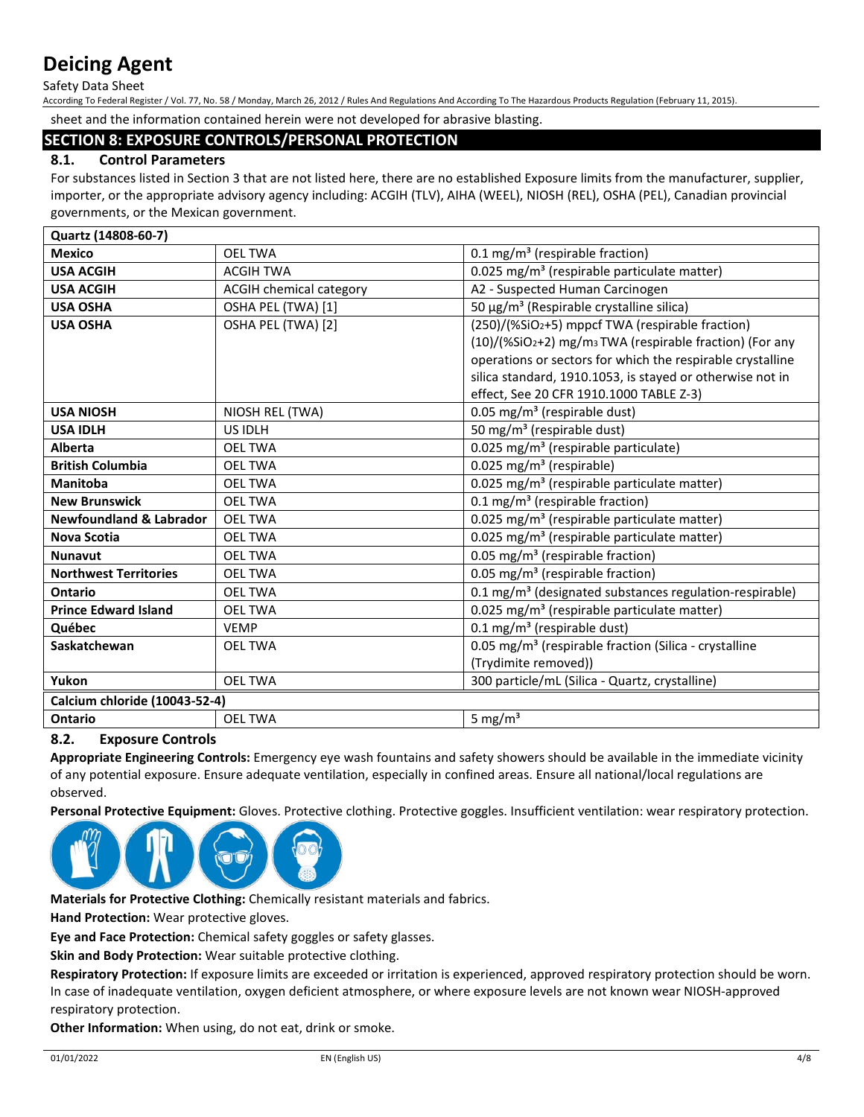Safety Data Sheet

According To Federal Register / Vol. 77, No. 58 / Monday, March 26, 2012 / Rules And Regulations And According To The Hazardous Products Regulation (February 11, 2015).

sheet and the information contained herein were not developed for abrasive blasting.

# **SECTION 8: EXPOSURE CONTROLS/PERSONAL PROTECTION**

# **8.1. Control Parameters**

For substances listed in Section 3 that are not listed here, there are no established Exposure limits from the manufacturer, supplier, importer, or the appropriate advisory agency including: ACGIH (TLV), AIHA (WEEL), NIOSH (REL), OSHA (PEL), Canadian provincial governments, or the Mexican government.

| Quartz (14808-60-7)                |                         |                                                                     |
|------------------------------------|-------------------------|---------------------------------------------------------------------|
| <b>Mexico</b>                      | <b>OEL TWA</b>          | 0.1 mg/m <sup>3</sup> (respirable fraction)                         |
| <b>USA ACGIH</b>                   | <b>ACGIH TWA</b>        | 0.025 mg/m <sup>3</sup> (respirable particulate matter)             |
| <b>USA ACGIH</b>                   | ACGIH chemical category | A2 - Suspected Human Carcinogen                                     |
| <b>USA OSHA</b>                    | OSHA PEL (TWA) [1]      | 50 μg/m <sup>3</sup> (Respirable crystalline silica)                |
| <b>USA OSHA</b>                    | OSHA PEL (TWA) [2]      | (250)/(%SiO2+5) mppcf TWA (respirable fraction)                     |
|                                    |                         | (10)/(%SiO2+2) mg/m <sub>3</sub> TWA (respirable fraction) (For any |
|                                    |                         | operations or sectors for which the respirable crystalline          |
|                                    |                         | silica standard, 1910.1053, is stayed or otherwise not in           |
|                                    |                         | effect, See 20 CFR 1910.1000 TABLE Z-3)                             |
| <b>USA NIOSH</b>                   | NIOSH REL (TWA)         | 0.05 mg/m <sup>3</sup> (respirable dust)                            |
| <b>USA IDLH</b>                    | US IDLH                 | 50 mg/m <sup>3</sup> (respirable dust)                              |
| <b>Alberta</b>                     | <b>OEL TWA</b>          | 0.025 mg/m <sup>3</sup> (respirable particulate)                    |
| <b>British Columbia</b>            | <b>OEL TWA</b>          | 0.025 mg/m <sup>3</sup> (respirable)                                |
| <b>Manitoba</b>                    | <b>OEL TWA</b>          | 0.025 mg/m <sup>3</sup> (respirable particulate matter)             |
| <b>New Brunswick</b>               | <b>OEL TWA</b>          | 0.1 mg/m <sup>3</sup> (respirable fraction)                         |
| <b>Newfoundland &amp; Labrador</b> | <b>OEL TWA</b>          | 0.025 mg/m <sup>3</sup> (respirable particulate matter)             |
| <b>Nova Scotia</b>                 | <b>OEL TWA</b>          | 0.025 mg/m <sup>3</sup> (respirable particulate matter)             |
| <b>Nunavut</b>                     | <b>OEL TWA</b>          | 0.05 mg/m <sup>3</sup> (respirable fraction)                        |
| <b>Northwest Territories</b>       | <b>OEL TWA</b>          | 0.05 mg/m <sup>3</sup> (respirable fraction)                        |
| Ontario                            | <b>OEL TWA</b>          | 0.1 mg/m <sup>3</sup> (designated substances regulation-respirable) |
| <b>Prince Edward Island</b>        | <b>OEL TWA</b>          | 0.025 mg/m <sup>3</sup> (respirable particulate matter)             |
| Québec                             | <b>VEMP</b>             | $0.1 \text{ mg/m}^3$ (respirable dust)                              |
| Saskatchewan                       | <b>OEL TWA</b>          | 0.05 mg/m <sup>3</sup> (respirable fraction (Silica - crystalline   |
|                                    |                         | (Trydimite removed))                                                |
| Yukon                              | <b>OEL TWA</b>          | 300 particle/mL (Silica - Quartz, crystalline)                      |
| Calcium chloride (10043-52-4)      |                         |                                                                     |
| Ontario                            | <b>OEL TWA</b>          | 5 mg/ $m3$                                                          |

## **8.2. Exposure Controls**

**Appropriate Engineering Controls:** Emergency eye wash fountains and safety showers should be available in the immediate vicinity of any potential exposure. Ensure adequate ventilation, especially in confined areas. Ensure all national/local regulations are observed.

**Personal Protective Equipment:** Gloves. Protective clothing. Protective goggles. Insufficient ventilation: wear respiratory protection.



**Materials for Protective Clothing:** Chemically resistant materials and fabrics.

**Hand Protection:** Wear protective gloves.

**Eye and Face Protection:** Chemical safety goggles or safety glasses.

**Skin and Body Protection:** Wear suitable protective clothing.

**Respiratory Protection:** If exposure limits are exceeded or irritation is experienced, approved respiratory protection should be worn. In case of inadequate ventilation, oxygen deficient atmosphere, or where exposure levels are not known wear NIOSH-approved respiratory protection.

**Other Information:** When using, do not eat, drink or smoke.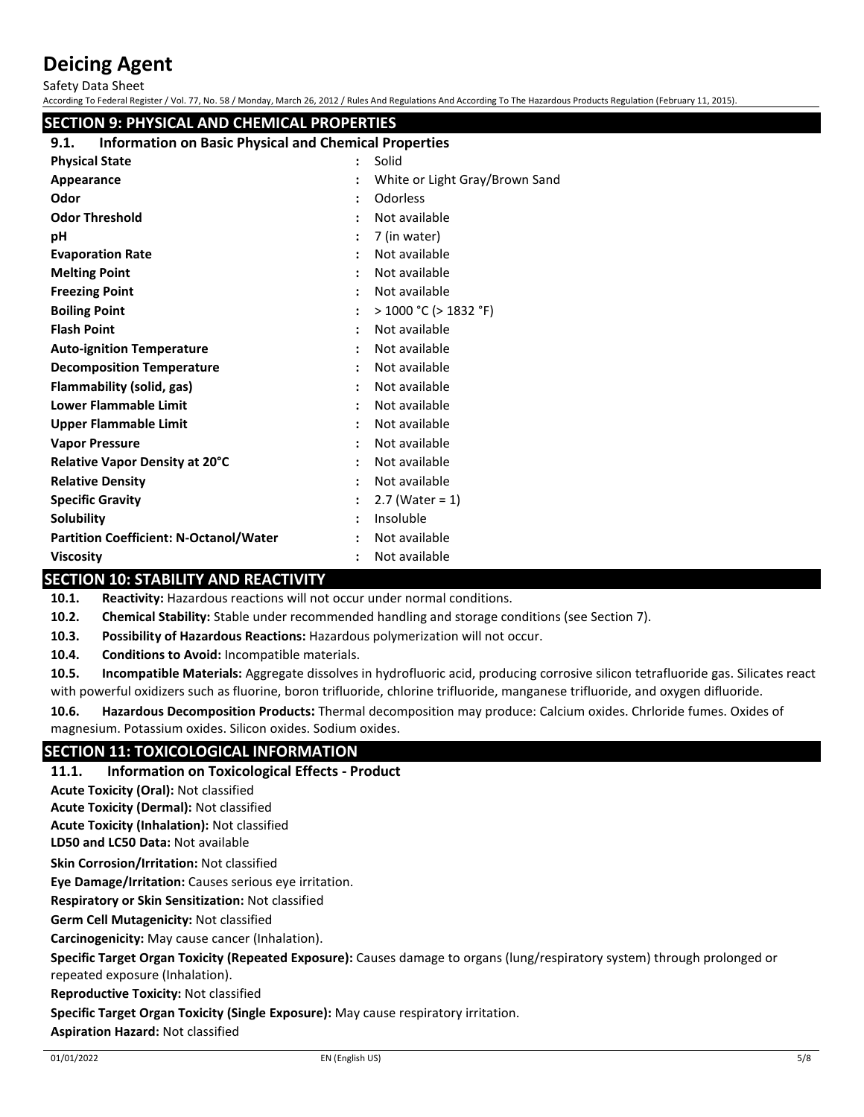Safety Data Sheet

|                                                                      |  | According To Federal Register / Vol. 77, No. 58 / Monday, March 26, 2012 / Rules And Regulations And According To The Hazardous Products Regulation (February 11, 2015). |  |  |
|----------------------------------------------------------------------|--|--------------------------------------------------------------------------------------------------------------------------------------------------------------------------|--|--|
| <b>SECTION 9: PHYSICAL AND CHEMICAL PROPERTIES</b>                   |  |                                                                                                                                                                          |  |  |
| <b>Information on Basic Physical and Chemical Properties</b><br>9.1. |  |                                                                                                                                                                          |  |  |
| <b>Physical State</b>                                                |  | Solid                                                                                                                                                                    |  |  |
| Appearance                                                           |  | White or Light Gray/Brown Sand                                                                                                                                           |  |  |
| Odor                                                                 |  | Odorless                                                                                                                                                                 |  |  |
| <b>Odor Threshold</b>                                                |  | Not available                                                                                                                                                            |  |  |
| рH                                                                   |  | 7 (in water)                                                                                                                                                             |  |  |
| <b>Evaporation Rate</b>                                              |  | Not available                                                                                                                                                            |  |  |
| <b>Melting Point</b>                                                 |  | Not available                                                                                                                                                            |  |  |
| <b>Freezing Point</b>                                                |  | Not available                                                                                                                                                            |  |  |
| <b>Boiling Point</b>                                                 |  | $>$ 1000 °C ( $>$ 1832 °F)                                                                                                                                               |  |  |
| <b>Flash Point</b>                                                   |  | Not available                                                                                                                                                            |  |  |
| <b>Auto-ignition Temperature</b>                                     |  | Not available                                                                                                                                                            |  |  |
| <b>Decomposition Temperature</b>                                     |  | Not available                                                                                                                                                            |  |  |
| Flammability (solid, gas)                                            |  | Not available                                                                                                                                                            |  |  |
| <b>Lower Flammable Limit</b>                                         |  | Not available                                                                                                                                                            |  |  |
| <b>Upper Flammable Limit</b>                                         |  | Not available                                                                                                                                                            |  |  |
| <b>Vapor Pressure</b>                                                |  | Not available                                                                                                                                                            |  |  |
| Relative Vapor Density at 20°C                                       |  | Not available                                                                                                                                                            |  |  |
| <b>Relative Density</b>                                              |  | Not available                                                                                                                                                            |  |  |
| <b>Specific Gravity</b>                                              |  | $2.7$ (Water = 1)                                                                                                                                                        |  |  |
| <b>Solubility</b>                                                    |  | Insoluble                                                                                                                                                                |  |  |
| <b>Partition Coefficient: N-Octanol/Water</b>                        |  | Not available                                                                                                                                                            |  |  |
| <b>Viscosity</b>                                                     |  | Not available                                                                                                                                                            |  |  |

# **SECTION 10: STABILITY AND REACTIVITY**

**10.1. Reactivity:** Hazardous reactions will not occur under normal conditions.

**10.2. Chemical Stability:** Stable under recommended handling and storage conditions (see Section 7).

**10.3. Possibility of Hazardous Reactions:** Hazardous polymerization will not occur.

**10.4. Conditions to Avoid:** Incompatible materials.

**10.5. Incompatible Materials:** Aggregate dissolves in hydrofluoric acid, producing corrosive silicon tetrafluoride gas. Silicates react with powerful oxidizers such as fluorine, boron trifluoride, chlorine trifluoride, manganese trifluoride, and oxygen difluoride.

**10.6. Hazardous Decomposition Products:** Thermal decomposition may produce: Calcium oxides. Chrloride fumes. Oxides of magnesium. Potassium oxides. Silicon oxides. Sodium oxides.

# **SECTION 11: TOXICOLOGICAL INFORMATION**

## **11.1. Information on Toxicological Effects - Product**

**Acute Toxicity (Oral):** Not classified

**Acute Toxicity (Dermal):** Not classified

**Acute Toxicity (Inhalation):** Not classified

**LD50 and LC50 Data:** Not available

**Skin Corrosion/Irritation:** Not classified

**Eye Damage/Irritation:** Causes serious eye irritation.

**Respiratory or Skin Sensitization:** Not classified

**Germ Cell Mutagenicity:** Not classified

**Carcinogenicity:** May cause cancer (Inhalation).

**Specific Target Organ Toxicity (Repeated Exposure):** Causes damage to organs (lung/respiratory system) through prolonged or repeated exposure (Inhalation).

**Reproductive Toxicity:** Not classified

**Specific Target Organ Toxicity (Single Exposure):** May cause respiratory irritation.

**Aspiration Hazard:** Not classified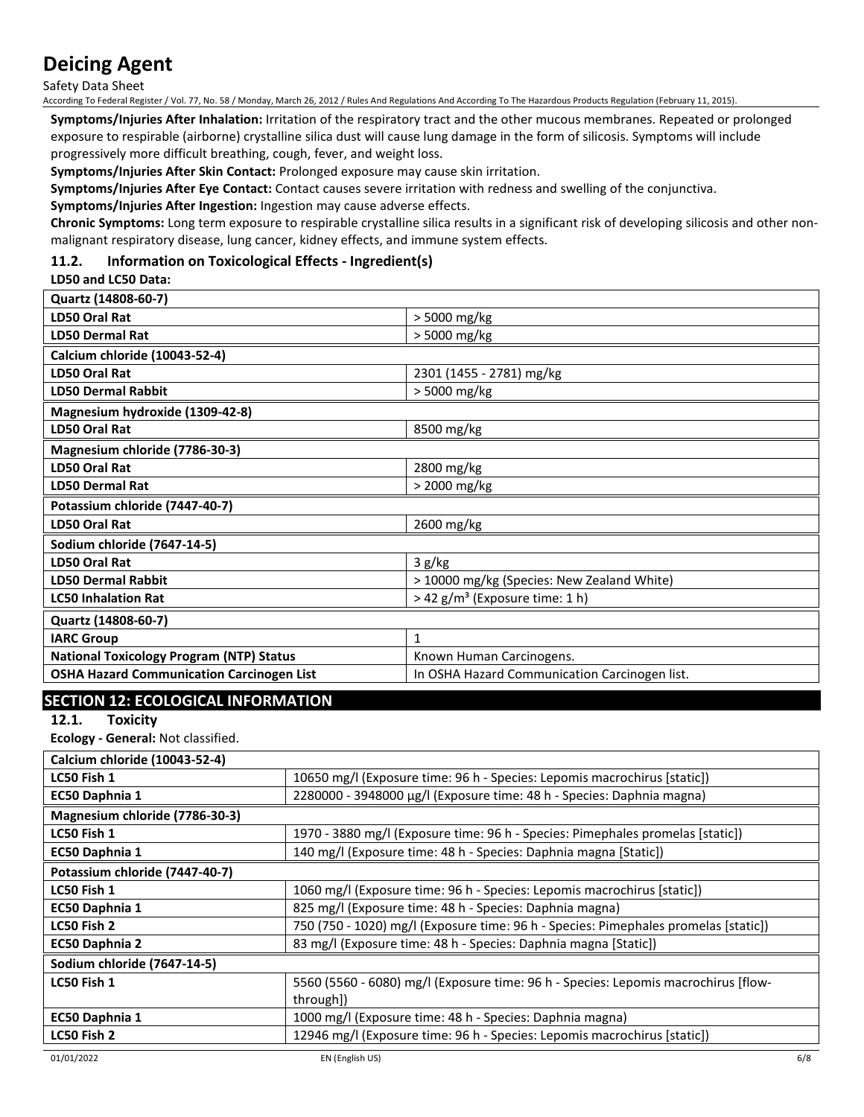Safety Data Sheet

According To Federal Register / Vol. 77, No. 58 / Monday, March 26, 2012 / Rules And Regulations And According To The Hazardous Products Regulation (February 11, 2015).

**Symptoms/Injuries After Inhalation:** Irritation of the respiratory tract and the other mucous membranes. Repeated or prolonged exposure to respirable (airborne) crystalline silica dust will cause lung damage in the form of silicosis. Symptoms will include progressively more difficult breathing, cough, fever, and weight loss.

**Symptoms/Injuries After Skin Contact:** Prolonged exposure may cause skin irritation.

**Symptoms/Injuries After Eye Contact:** Contact causes severe irritation with redness and swelling of the conjunctiva.

**Symptoms/Injuries After Ingestion:** Ingestion may cause adverse effects.

**Chronic Symptoms:** Long term exposure to respirable crystalline silica results in a significant risk of developing silicosis and other nonmalignant respiratory disease, lung cancer, kidney effects, and immune system effects.

# **11.2. Information on Toxicological Effects - Ingredient(s)**

## **LD50 and LC50 Data:**

| Quartz (14808-60-7)                              |                                               |
|--------------------------------------------------|-----------------------------------------------|
| LD50 Oral Rat                                    | > 5000 mg/kg                                  |
| <b>LD50 Dermal Rat</b>                           | > 5000 mg/kg                                  |
| Calcium chloride (10043-52-4)                    |                                               |
| LD50 Oral Rat                                    | 2301 (1455 - 2781) mg/kg                      |
| <b>LD50 Dermal Rabbit</b>                        | > 5000 mg/kg                                  |
| Magnesium hydroxide (1309-42-8)                  |                                               |
| LD50 Oral Rat                                    | 8500 mg/kg                                    |
| Magnesium chloride (7786-30-3)                   |                                               |
| LD50 Oral Rat                                    | 2800 mg/kg                                    |
| <b>LD50 Dermal Rat</b>                           | > 2000 mg/kg                                  |
| Potassium chloride (7447-40-7)                   |                                               |
| <b>LD50 Oral Rat</b>                             | 2600 mg/kg                                    |
| Sodium chloride (7647-14-5)                      |                                               |
| <b>LD50 Oral Rat</b>                             | 3 g/kg                                        |
| <b>LD50 Dermal Rabbit</b>                        | > 10000 mg/kg (Species: New Zealand White)    |
| <b>LC50 Inhalation Rat</b>                       | > 42 g/m <sup>3</sup> (Exposure time: 1 h)    |
| Quartz (14808-60-7)                              |                                               |
| <b>IARC Group</b>                                | 1                                             |
| <b>National Toxicology Program (NTP) Status</b>  | Known Human Carcinogens.                      |
| <b>OSHA Hazard Communication Carcinogen List</b> | In OSHA Hazard Communication Carcinogen list. |

# **SECTION 12: ECOLOGICAL INFORMATION**

**12.1. Toxicity**

**Ecology - General:** Not classified.

| Calcium chloride (10043-52-4)  |                                                                                     |
|--------------------------------|-------------------------------------------------------------------------------------|
| LC50 Fish 1                    | 10650 mg/l (Exposure time: 96 h - Species: Lepomis macrochirus [static])            |
| EC50 Daphnia 1                 | 2280000 - 3948000 µg/l (Exposure time: 48 h - Species: Daphnia magna)               |
| Magnesium chloride (7786-30-3) |                                                                                     |
| LC50 Fish 1                    | 1970 - 3880 mg/l (Exposure time: 96 h - Species: Pimephales promelas [static])      |
| EC50 Daphnia 1                 | 140 mg/l (Exposure time: 48 h - Species: Daphnia magna [Static])                    |
| Potassium chloride (7447-40-7) |                                                                                     |
| LC50 Fish 1                    | 1060 mg/l (Exposure time: 96 h - Species: Lepomis macrochirus [static])             |
| EC50 Daphnia 1                 | 825 mg/l (Exposure time: 48 h - Species: Daphnia magna)                             |
| LC50 Fish 2                    | 750 (750 - 1020) mg/l (Exposure time: 96 h - Species: Pimephales promelas [static]) |
| EC50 Daphnia 2                 | 83 mg/l (Exposure time: 48 h - Species: Daphnia magna [Static])                     |
| Sodium chloride (7647-14-5)    |                                                                                     |
| LC50 Fish 1                    | 5560 (5560 - 6080) mg/l (Exposure time: 96 h - Species: Lepomis macrochirus [flow-  |
|                                | through])                                                                           |
| EC50 Daphnia 1                 | 1000 mg/l (Exposure time: 48 h - Species: Daphnia magna)                            |
| LC50 Fish 2                    | 12946 mg/l (Exposure time: 96 h - Species: Lepomis macrochirus [static])            |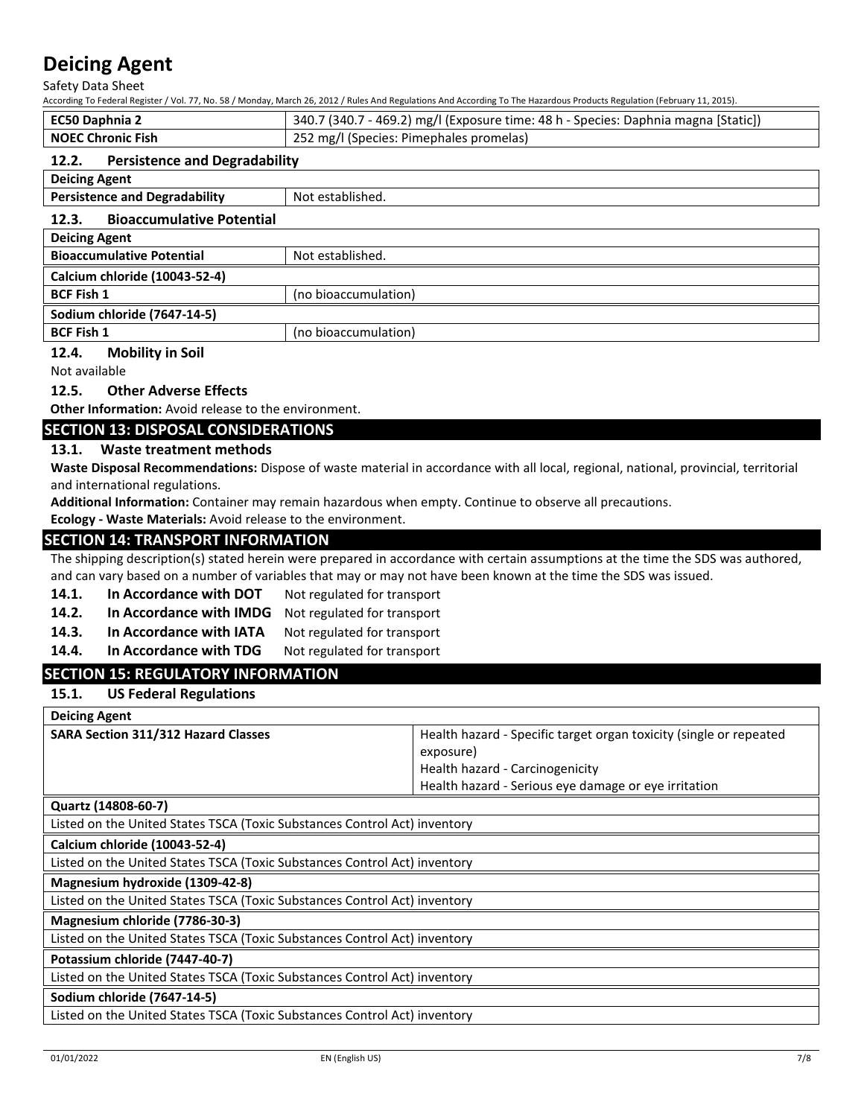Safety Data Sheet

| According To Federal Register / Vol. 77, No. 58 / Monday, March 26, 2012 / Rules And Regulations And According To The Hazardous Products Regulation (February 11, 2015). |                                                                                    |  |
|--------------------------------------------------------------------------------------------------------------------------------------------------------------------------|------------------------------------------------------------------------------------|--|
| <b>EC50 Daphnia 2</b>                                                                                                                                                    | 340.7 (340.7 - 469.2) mg/l (Exposure time: 48 h - Species: Daphnia magna [Static]) |  |
| <b>NOEC Chronic Fish</b>                                                                                                                                                 | 252 mg/l (Species: Pimephales promelas)                                            |  |
| <b>Persistence and Degradability</b><br>12.2.                                                                                                                            |                                                                                    |  |
| <b>Deicing Agent</b>                                                                                                                                                     |                                                                                    |  |
| <b>Persistence and Degradability</b><br>Not established.                                                                                                                 |                                                                                    |  |
| <b>Bioaccumulative Potential</b><br>12.3.                                                                                                                                |                                                                                    |  |
| <b>Deicing Agent</b>                                                                                                                                                     |                                                                                    |  |
| <b>Bioaccumulative Potential</b><br>Not established.                                                                                                                     |                                                                                    |  |
| Calcium chloride (10043-52-4)                                                                                                                                            |                                                                                    |  |
| <b>BCF Fish 1</b>                                                                                                                                                        | (no bioaccumulation)                                                               |  |

**Sodium chloride (7647-14-5)**

**BCF Fish 1** (no bioaccumulation)

#### **12.4. Mobility in Soil**

Not available

## **12.5. Other Adverse Effects**

**Other Information:** Avoid release to the environment.

## **SECTION 13: DISPOSAL CONSIDERATIONS**

#### **13.1. Waste treatment methods**

**Waste Disposal Recommendations:** Dispose of waste material in accordance with all local, regional, national, provincial, territorial and international regulations.

**Additional Information:** Container may remain hazardous when empty. Continue to observe all precautions.

**Ecology - Waste Materials:** Avoid release to the environment.

## **SECTION 14: TRANSPORT INFORMATION**

The shipping description(s) stated herein were prepared in accordance with certain assumptions at the time the SDS was authored, and can vary based on a number of variables that may or may not have been known at the time the SDS was issued.

- 14.1. In Accordance with DOT Not regulated for transport
- **14.2. In Accordance with IMDG** Not regulated for transport
- 14.3. In Accordance with IATA Not regulated for transport
- 14.4. In Accordance with TDG Not regulated for transport

# **SECTION 15: REGULATORY INFORMATION**

**15.1. US Federal Regulations**

| <b>Deicing Agent</b>                       |                                                                    |
|--------------------------------------------|--------------------------------------------------------------------|
| <b>SARA Section 311/312 Hazard Classes</b> | Health hazard - Specific target organ toxicity (single or repeated |
|                                            | exposure)                                                          |
|                                            | Health hazard - Carcinogenicity                                    |
|                                            | Health hazard - Serious eye damage or eye irritation               |

#### **Quartz (14808-60-7)**

Listed on the United States TSCA (Toxic Substances Control Act) inventory

**Calcium chloride (10043-52-4)**

Listed on the United States TSCA (Toxic Substances Control Act) inventory

**Magnesium hydroxide (1309-42-8)**

Listed on the United States TSCA (Toxic Substances Control Act) inventory

**Magnesium chloride (7786-30-3)**

Listed on the United States TSCA (Toxic Substances Control Act) inventory

**Potassium chloride (7447-40-7)**

Listed on the United States TSCA (Toxic Substances Control Act) inventory

## **Sodium chloride (7647-14-5)**

Listed on the United States TSCA (Toxic Substances Control Act) inventory